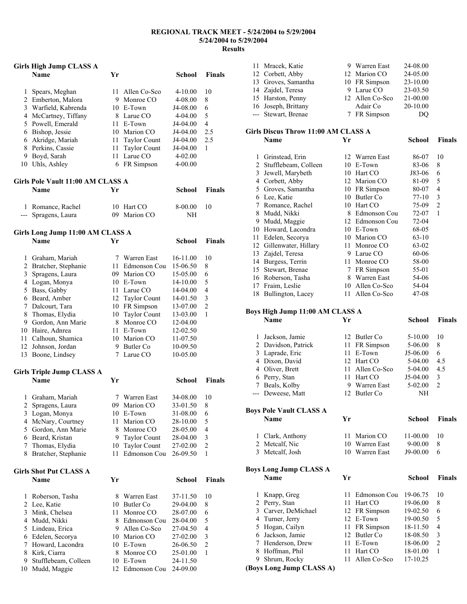#### **REGIONAL TRACK MEET - 5/24/2004 to 5/29/2004 5/24/2004 to 5/29/2004 Results**

|                | <b>Girls High Jump CLASS A</b>        |          |                                     |                      |                          |
|----------------|---------------------------------------|----------|-------------------------------------|----------------------|--------------------------|
|                | Name                                  | Yr       |                                     | School               | <b>Finals</b>            |
| 1              | Spears, Meghan                        | 11       | Allen Co-Sco                        | 4-10.00              | 10                       |
| 2              | Emberton, Malora                      |          | 9 Monroe CO                         | 4-08.00              | 8                        |
| 3              | Warfield, Kabrenda                    |          | 10 E-Town                           | J4-08.00             | 6                        |
| 4              | McCartney, Tiffany                    |          | 8 Larue CO                          | 4-04.00              | 5                        |
| 5              | Powell, Emerald                       |          | 11 E-Town                           | J4-04.00             | 4                        |
| 6              | Bishop, Jessie                        |          | 10 Marion CO                        | J4-04.00             | 2.5                      |
|                | 6 Akridge, Mariah                     |          | 11 Taylor Count                     | J4-04.00             | 2.5                      |
| 8              | Perkins, Cassie                       | 11       | <b>Taylor Count</b>                 | J4-04.00             | 1                        |
| 9              | Boyd, Sarah                           | 11       | Larue CO                            | 4-02.00              |                          |
|                | 10 Uhls, Ashley                       | 6        | FR Simpson                          | 4-00.00              |                          |
|                | Girls Pole Vault 11:00 AM CLASS A     |          |                                     |                      |                          |
|                | <b>Name</b>                           | Yr       |                                     | School               | <b>Finals</b>            |
| 1              | Romance, Rachel                       | 10       | Hart CO                             | 8-00.00              | 10                       |
| ---            | Spragens, Laura                       |          | 09 Marion CO                        | NΗ                   |                          |
|                | Girls Long Jump 11:00 AM CLASS A      |          |                                     |                      |                          |
|                | <b>Name</b>                           | Yr       |                                     | School               | <b>Finals</b>            |
| 1              | Graham, Mariah                        |          | 7 Warren East                       | 16-11.00             | 10                       |
| $\overline{2}$ | Bratcher, Stephanie                   |          | 11 Edmonson Cou                     | 15-06.50             | 8                        |
| 3              | Spragens, Laura                       |          | 09 Marion CO                        | 15-05.00             | 6                        |
| 4              | Logan, Monya                          |          | 10 E-Town                           | 14-10.00             | 5                        |
| 5              | Bass, Gabby                           |          | 11 Larue CO                         | 14-04.00             | $\overline{4}$           |
| 6              | Beard, Amber                          |          | 12 Taylor Count                     | 14-01.50             | 3                        |
| 7              | Dalcourt, Tara                        |          | 10 FR Simpson                       | 13-07.00             | $\overline{c}$           |
| 8              | Thomas, Elydia                        |          | 10 Taylor Count                     | 13-03.00             | 1                        |
| 9              | Gordon, Ann Marie                     |          | 8 Monroe CO                         | 12-04.00             |                          |
|                | 10 Haire, Adnrea                      |          | 11 E-Town                           | 12-02.50             |                          |
| 11             | Calhoun, Shamica                      |          | 10 Marion CO                        | 11-07.50             |                          |
| 12             | Johnson, Jordan                       |          | 9 Butler Co                         | 10-09.50             |                          |
|                | 13 Boone, Lindsey                     |          | 7 Larue CO                          | 10-05.00             |                          |
|                | <b>Girls Triple Jump CLASS A</b>      |          |                                     |                      |                          |
|                | <b>Name</b>                           | Yr       |                                     | <b>School</b>        | <b>Finals</b>            |
|                |                                       |          |                                     |                      |                          |
| 1<br>2         | Graham, Mariah<br>Spragens, Laura     | 7<br>09  | Warren East<br>Marion CO            | 34-08.00<br>33-01.50 | 10<br>8                  |
| 3              |                                       | 10       | E-Town                              | 31-08.00             | 6                        |
| 4              | Logan, Monya<br>McNary, Courtney      | 11       | Marion CO                           | 28-10.00             | 5                        |
| 5              | Gordon, Ann Marie                     | 8        | Monroe CO                           | 28-05.00             | 4                        |
| 6              |                                       | 9        | <b>Taylor Count</b>                 |                      | 3                        |
| 7              | Beard, Kristan                        |          |                                     | 28-04.00             | $\overline{c}$           |
| 8              | Thomas, Elydia<br>Bratcher, Stephanie | 10<br>11 | <b>Taylor Count</b><br>Edmonson Cou | 27-02.00<br>26-09.50 | 1                        |
|                |                                       |          |                                     |                      |                          |
|                | <b>Girls Shot Put CLASS A</b><br>Name | Yr       |                                     | <b>School</b>        | <b>Finals</b>            |
|                |                                       |          |                                     |                      |                          |
| 1              | Roberson, Tasha                       | 8        | Warren East                         | 37-11.50             | 10                       |
| $\overline{c}$ | Lee, Katie                            | 10       | Butler Co                           | 29-04.00             | 8                        |
| 3              | Mink, Chelsea                         | 11       | Monroe CO                           | 28-07.00             | 6                        |
| 4              | Mudd, Nikki                           | 8        | Edmonson Cou                        | 28-04.00             | 5                        |
| 5              | Lindeau, Erica                        |          | 9 Allen Co-Sco                      | 27-04.50             | $\overline{\mathcal{L}}$ |
| 6              | Edelen, Secorya                       |          | 10 Marion CO                        | 27-02.00             | $\mathfrak{Z}$           |
| 7              | Howard, Lacondra                      |          | 10 E-Town                           | 26-06.50             | $\overline{c}$           |
| 8              | Kirk, Ciarra                          | 8        | Monroe CO                           | 25-01.00             | 1                        |
| 9              | Stufflebeam, Colleen                  | 10       | E-Town                              | 24-11.50             |                          |
| 10             | Mudd, Maggie                          |          | 12 Edmonson Cou                     | 24-09.00             |                          |

| 11 Mracek, Katie    | 9 Warren East   | 24-08.00     |
|---------------------|-----------------|--------------|
| 12 Corbett, Abby    | 12 Marion CO    | 24-05.00     |
| 13 Groves, Samantha | 10 FR Simpson   | $23 - 10.00$ |
| 14 Zajdel, Teresa   | 9 Larue CO      | 23-03.50     |
| 15 Harston, Penny   | 12 Allen Co-Sco | 21-00.00     |
| 16 Joseph, Brittany | Adair Co        | 20-10.00     |
| --- Stewart, Brenae | 7 FR Simpson    | DO           |

# **Girls Discus Throw 11:00 AM CLASS A**

| 1  | Grinstead, Erin      |    | 12 Warren East | 86-07     | 10             |
|----|----------------------|----|----------------|-----------|----------------|
| 2  | Stufflebeam, Colleen | 10 | E-Town         | 83-06     | 8              |
| 3  | Jewell, Marybeth     | 10 | Hart CO        | J83-06    | 6              |
| 4  | Corbett, Abby        |    | 12 Marion CO   | 81-09     | 5              |
| 5  | Groves, Samantha     | 10 | FR Simpson     | 80-07     | $\overline{4}$ |
| 6  | Lee, Katie           | 10 | Butler Co.     | $77-10$   | 3              |
| 7  | Romance, Rachel      | 10 | Hart CO        | 75-09     | $\overline{2}$ |
| 8  | Mudd, Nikki          | 8  | Edmonson Cou   | 72-07     | 1              |
| 9  | Mudd, Maggie         | 12 | Edmonson Cou   | $72 - 04$ |                |
| 10 | Howard, Lacondra     | 10 | E-Town         | 68-05     |                |
| 11 | Edelen, Secorya      | 10 | Marion CO      | $63-10$   |                |
| 12 | Gillenwater, Hillary | 11 | Monroe CO      | 63-02     |                |
| 13 | Zajdel, Teresa       | 9  | Larue CO       | 60-06     |                |
| 14 | Burgess, Terrin      | 11 | Monroe CO      | 58-00     |                |
| 15 | Stewart, Brenae      | 7  | FR Simpson     | 55-01     |                |
| 16 | Roberson, Tasha      | 8  | Warren East    | 54-06     |                |
| 17 | Fraim, Leslie        | 10 | Allen Co-Sco   | 54-04     |                |
|    | 18 Bullington, Lacey | 11 | Allen Co-Sco   | 47-08     |                |
|    |                      |    |                |           |                |

**School Finals** 

**School Finals** 

# **Boys High Jump 11:00 AM CLASS A**

| 1 Jackson, Jamie    | 12 Butler Co    | $5-10.00$  | 10            |
|---------------------|-----------------|------------|---------------|
| 2 Davidson, Patrick | 11 FR Simpson   | 5-06.00    | 8             |
| 3 Laprade, Eric     | 11 E-Town       | $J5-06.00$ | 6             |
| 4 Dixon, David      | 12 Hart CO      | $5-04.00$  | 4.5           |
| 4 Oliver, Brett     | 11 Allen Co-Sco | $5-04.00$  | 4.5           |
| 6 Perry, Stan       | 11 Hart CO      | $J5-04.00$ | 3             |
| 7 Beals, Kolby      | 9 Warren East   | $5-02.00$  | $\mathcal{D}$ |
| --- Deweese, Matt   | 12 Butler Co    | NΗ         |               |
|                     |                 |            |               |

**Boys Pole Vault CLASS A** 

| <b>Name</b>      | Уr |                | School       | <b>Finals</b> |
|------------------|----|----------------|--------------|---------------|
| 1 Clark, Anthony |    | 11 Marion CO   | $11 - 00.00$ | 10            |
| 2 Metcalf, Nic   |    | 10 Warren East | $9-00.00$    | 8             |
| 3 Metcalf, Josh  |    | 10 Warren East | $J9-00.00$   | 6             |

### **Boys Long Jump CLASS A**

|   | <b>Name</b>              | Yг |               | School   | <b>Finals</b> |
|---|--------------------------|----|---------------|----------|---------------|
|   | 1 Knapp, Greg            | 11 | Edmonson Cou  | 19-06.75 | 10            |
|   | 2 Perry, Stan            | 11 | Hart CO       | 19-06.00 | 8             |
|   | 3 Carver, DeMichael      |    | 12 FR Simpson | 19-02.50 | 6             |
|   | 4 Turner, Jerry          |    | 12 E-Town     | 19-00.50 | 5             |
|   | 5 Hogan, Cailyn          |    | 11 FR Simpson | 18-11.50 | 4             |
|   | 6 Jackson, Jamie         |    | 12 Butler Co. | 18-08.50 | 3             |
|   | 7 Henderson, Drew        | 11 | E-Town        | 18-06.00 | $\mathcal{L}$ |
| 8 | Hoffman, Phil            | 11 | Hart CO       | 18-01.00 | 1             |
| 9 | Shrum, Rocky             | 11 | Allen Co-Sco  | 17-10.25 |               |
|   | (Boys Long Jump CLASS A) |    |               |          |               |